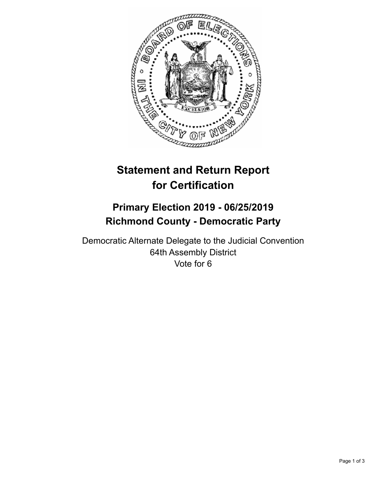

## **Statement and Return Report for Certification**

## **Primary Election 2019 - 06/25/2019 Richmond County - Democratic Party**

Democratic Alternate Delegate to the Judicial Convention 64th Assembly District Vote for 6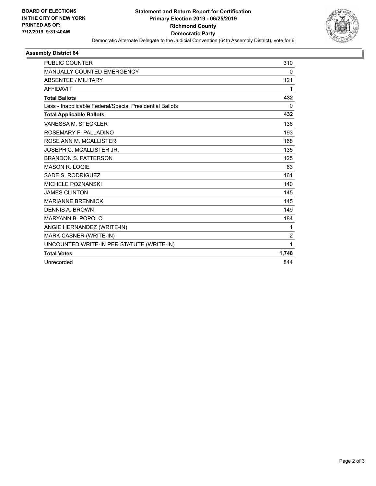

## **Assembly District 64**

| <b>PUBLIC COUNTER</b>                                    | 310            |
|----------------------------------------------------------|----------------|
| <b>MANUALLY COUNTED EMERGENCY</b>                        | 0              |
| <b>ABSENTEE / MILITARY</b>                               | 121            |
| <b>AFFIDAVIT</b>                                         | 1              |
| <b>Total Ballots</b>                                     | 432            |
| Less - Inapplicable Federal/Special Presidential Ballots | 0              |
| <b>Total Applicable Ballots</b>                          | 432            |
| VANESSA M. STECKLER                                      | 136            |
| ROSEMARY F. PALLADINO                                    | 193            |
| ROSE ANN M. MCALLISTER                                   | 168            |
| JOSEPH C. MCALLISTER JR.                                 | 135            |
| <b>BRANDON S. PATTERSON</b>                              | 125            |
| <b>MASON R. LOGIE</b>                                    | 63             |
| SADE S. RODRIGUEZ                                        | 161            |
| MICHELE POZNANSKI                                        | 140            |
| <b>JAMES CLINTON</b>                                     | 145            |
| <b>MARIANNE BRENNICK</b>                                 | 145            |
| <b>DENNIS A. BROWN</b>                                   | 149            |
| <b>MARYANN B. POPOLO</b>                                 | 184            |
| ANGIE HERNANDEZ (WRITE-IN)                               | 1              |
| MARK CASNER (WRITE-IN)                                   | $\overline{2}$ |
| UNCOUNTED WRITE-IN PER STATUTE (WRITE-IN)                | 1              |
| <b>Total Votes</b>                                       | 1,748          |
| Unrecorded                                               | 844            |